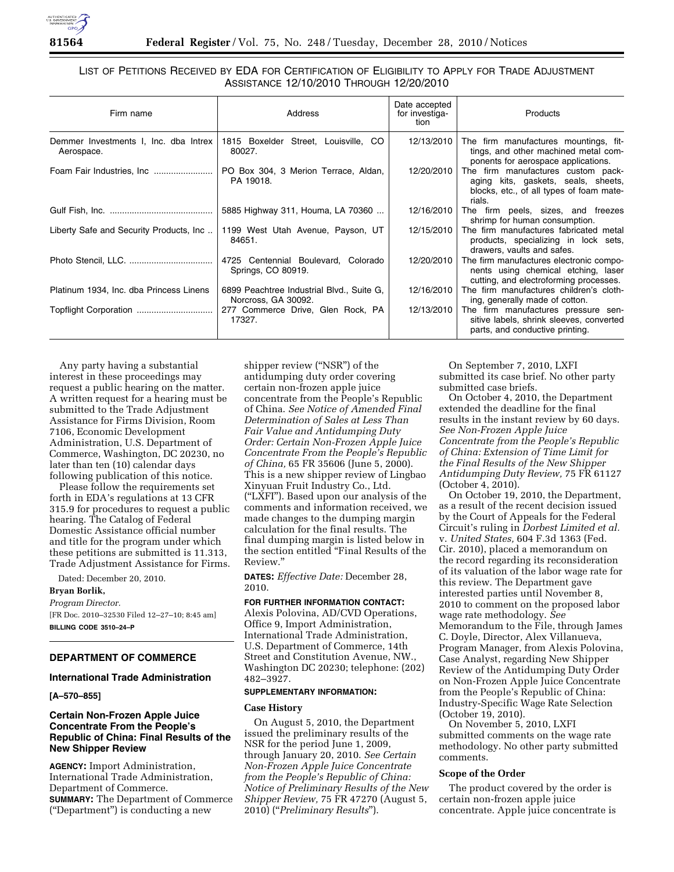

# LIST OF PETITIONS RECEIVED BY EDA FOR CERTIFICATION OF ELIGIBILITY TO APPLY FOR TRADE ADJUSTMENT ASSISTANCE 12/10/2010 THROUGH 12/20/2010

| Firm name                                             | Address                                                          | Date accepted<br>for investiga-<br>tion | Products                                                                                                                        |
|-------------------------------------------------------|------------------------------------------------------------------|-----------------------------------------|---------------------------------------------------------------------------------------------------------------------------------|
| Demmer Investments I, Inc. dba Intrex  <br>Aerospace. | 1815 Boxelder Street, Louisville, CO<br>80027.                   | 12/13/2010                              | The firm manufactures mountings, fit-<br>tings, and other machined metal com-<br>ponents for aerospace applications.            |
| Foam Fair Industries, Inc                             | PO Box 304, 3 Merion Terrace, Aldan,<br>PA 19018.                | 12/20/2010                              | The firm manufactures custom pack-<br>aging kits, gaskets, seals, sheets,<br>blocks, etc., of all types of foam mate-<br>rials. |
|                                                       | 5885 Highway 311, Houma, LA 70360                                | 12/16/2010                              | The firm peels, sizes, and freezes<br>shrimp for human consumption.                                                             |
| Liberty Safe and Security Products, Inc               | 1199 West Utah Avenue, Payson, UT<br>84651.                      | 12/15/2010                              | The firm manufactures fabricated metal<br>products, specializing in lock sets,<br>drawers, vaults and safes.                    |
|                                                       | 4725 Centennial Boulevard, Colorado<br>Springs, CO 80919.        | 12/20/2010                              | The firm manufactures electronic compo-<br>nents using chemical etching, laser<br>cutting, and electroforming processes.        |
| Platinum 1934, Inc. dba Princess Linens               | 6899 Peachtree Industrial Blvd., Suite G,<br>Norcross, GA 30092. | 12/16/2010                              | The firm manufactures children's cloth-<br>ing, generally made of cotton.                                                       |
|                                                       | 17327.                                                           | 12/13/2010                              | The firm manufactures pressure sen-<br>sitive labels, shrink sleeves, converted<br>parts, and conductive printing.              |

Any party having a substantial interest in these proceedings may request a public hearing on the matter. A written request for a hearing must be submitted to the Trade Adjustment Assistance for Firms Division, Room 7106, Economic Development Administration, U.S. Department of Commerce, Washington, DC 20230, no later than ten (10) calendar days following publication of this notice.

Please follow the requirements set forth in EDA's regulations at 13 CFR 315.9 for procedures to request a public hearing. The Catalog of Federal Domestic Assistance official number and title for the program under which these petitions are submitted is 11.313, Trade Adjustment Assistance for Firms.

Dated: December 20, 2010.

## **Bryan Borlik,**

*Program Director.*  [FR Doc. 2010–32530 Filed 12–27–10; 8:45 am] **BILLING CODE 3510–24–P** 

## **DEPARTMENT OF COMMERCE**

## **International Trade Administration**

**[A–570–855]** 

# **Certain Non-Frozen Apple Juice Concentrate From the People's Republic of China: Final Results of the New Shipper Review**

**AGENCY:** Import Administration, International Trade Administration, Department of Commerce. **SUMMARY:** The Department of Commerce (''Department'') is conducting a new

shipper review (''NSR'') of the antidumping duty order covering certain non-frozen apple juice concentrate from the People's Republic of China. *See Notice of Amended Final Determination of Sales at Less Than Fair Value and Antidumping Duty Order: Certain Non-Frozen Apple Juice Concentrate From the People's Republic of China,* 65 FR 35606 (June 5, 2000). This is a new shipper review of Lingbao Xinyuan Fruit Industry Co., Ltd. (''LXFI''). Based upon our analysis of the comments and information received, we made changes to the dumping margin calculation for the final results. The final dumping margin is listed below in the section entitled ''Final Results of the Review.''

**DATES:** *Effective Date:* December 28, 2010.

#### **FOR FURTHER INFORMATION CONTACT:**

Alexis Polovina, AD/CVD Operations, Office 9, Import Administration, International Trade Administration, U.S. Department of Commerce, 14th Street and Constitution Avenue, NW., Washington DC 20230; telephone: (202) 482–3927.

### **SUPPLEMENTARY INFORMATION:**

#### **Case History**

On August 5, 2010, the Department issued the preliminary results of the NSR for the period June 1, 2009, through January 20, 2010. *See Certain Non-Frozen Apple Juice Concentrate from the People's Republic of China: Notice of Preliminary Results of the New Shipper Review,* 75 FR 47270 (August 5, 2010) (''*Preliminary Results*'').

On September 7, 2010, LXFI submitted its case brief. No other party submitted case briefs.

On October 4, 2010, the Department extended the deadline for the final results in the instant review by 60 days. *See Non-Frozen Apple Juice Concentrate from the People's Republic of China: Extension of Time Limit for the Final Results of the New Shipper Antidumping Duty Review,* 75 FR 61127 (October 4, 2010).

On October 19, 2010, the Department, as a result of the recent decision issued by the Court of Appeals for the Federal Circuit's ruling in *Dorbest Limited et al.*  v. *United States,* 604 F.3d 1363 (Fed. Cir. 2010), placed a memorandum on the record regarding its reconsideration of its valuation of the labor wage rate for this review. The Department gave interested parties until November 8, 2010 to comment on the proposed labor wage rate methodology. *See*  Memorandum to the File, through James C. Doyle, Director, Alex Villanueva, Program Manager, from Alexis Polovina, Case Analyst, regarding New Shipper Review of the Antidumping Duty Order on Non-Frozen Apple Juice Concentrate from the People's Republic of China: Industry-Specific Wage Rate Selection (October 19, 2010).

On November 5, 2010, LXFI submitted comments on the wage rate methodology. No other party submitted comments.

# **Scope of the Order**

The product covered by the order is certain non-frozen apple juice concentrate. Apple juice concentrate is